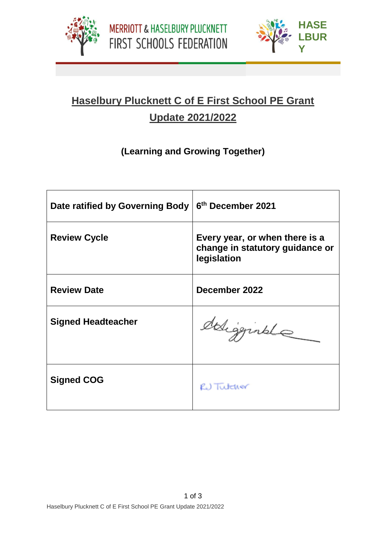



**PLUC**

## **Haselbury Plucknett C of E First School PE Grant Update 2021/2022**

## **(Learning and Growing Together)**

| Date ratified by Governing Body | 6th December 2021                                                                |  |  |
|---------------------------------|----------------------------------------------------------------------------------|--|--|
| <b>Review Cycle</b>             | Every year, or when there is a<br>change in statutory guidance or<br>legislation |  |  |
| <b>Review Date</b>              | December 2022                                                                    |  |  |
| <b>Signed Headteacher</b>       | deligginale                                                                      |  |  |
| <b>Signed COG</b>               | RU Tutcher                                                                       |  |  |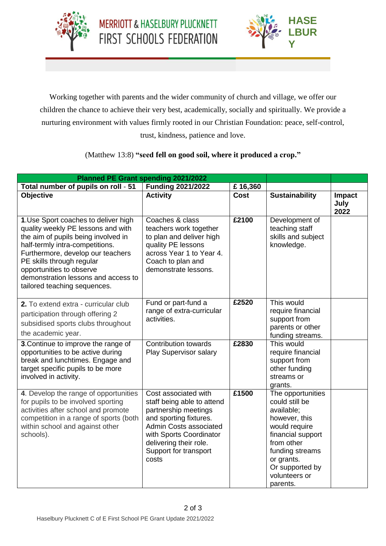



**PLUC**

Working together with parents and the wider community of church and village, we offer our children the chance to achieve their very best, academically, socially and spiritually. We provide a nurturing environment with values firmly rooted in our Christian Foundation: peace, self-control, trust, kindness, patience and love.

## (Matthew 13:8) **"seed fell on good soil, where it produced a crop."**

|                                                                                                                                                                                                                                                                                                                           | Planned PE Grant spending 2021/2022                                                                                                                                                                                   |             |                                                                                                                                                                                                         |                        |
|---------------------------------------------------------------------------------------------------------------------------------------------------------------------------------------------------------------------------------------------------------------------------------------------------------------------------|-----------------------------------------------------------------------------------------------------------------------------------------------------------------------------------------------------------------------|-------------|---------------------------------------------------------------------------------------------------------------------------------------------------------------------------------------------------------|------------------------|
| Total number of pupils on roll - 51                                                                                                                                                                                                                                                                                       | <b>Funding 2021/2022</b>                                                                                                                                                                                              | £16,360     |                                                                                                                                                                                                         |                        |
| Objective                                                                                                                                                                                                                                                                                                                 | <b>Activity</b>                                                                                                                                                                                                       | <b>Cost</b> | <b>Sustainability</b>                                                                                                                                                                                   | Impact<br>July<br>2022 |
| 1. Use Sport coaches to deliver high<br>quality weekly PE lessons and with<br>the aim of pupils being involved in<br>half-termly intra-competitions.<br>Furthermore, develop our teachers<br>PE skills through regular<br>opportunities to observe<br>demonstration lessons and access to<br>tailored teaching sequences. | Coaches & class<br>teachers work together<br>to plan and deliver high<br>quality PE lessons<br>across Year 1 to Year 4.<br>Coach to plan and<br>demonstrate lessons.                                                  | £2100       | Development of<br>teaching staff<br>skills and subject<br>knowledge.                                                                                                                                    |                        |
| 2. To extend extra - curricular club<br>participation through offering 2<br>subsidised sports clubs throughout<br>the academic year.                                                                                                                                                                                      | Fund or part-fund a<br>range of extra-curricular<br>activities.                                                                                                                                                       | £2520       | This would<br>require financial<br>support from<br>parents or other<br>funding streams.                                                                                                                 |                        |
| 3. Continue to improve the range of<br>opportunities to be active during<br>break and lunchtimes. Engage and<br>target specific pupils to be more<br>involved in activity.                                                                                                                                                | <b>Contribution towards</b><br><b>Play Supervisor salary</b>                                                                                                                                                          | £2830       | This would<br>require financial<br>support from<br>other funding<br>streams or<br>grants.                                                                                                               |                        |
| 4. Develop the range of opportunities<br>for pupils to be involved sporting<br>activities after school and promote<br>competition in a range of sports (both<br>within school and against other<br>schools).                                                                                                              | Cost associated with<br>staff being able to attend<br>partnership meetings<br>and sporting fixtures.<br>Admin Costs associated<br>with Sports Coordinator<br>delivering their role.<br>Support for transport<br>costs | £1500       | The opportunities<br>could still be<br>available;<br>however, this<br>would require<br>financial support<br>from other<br>funding streams<br>or grants.<br>Or supported by<br>volunteers or<br>parents. |                        |